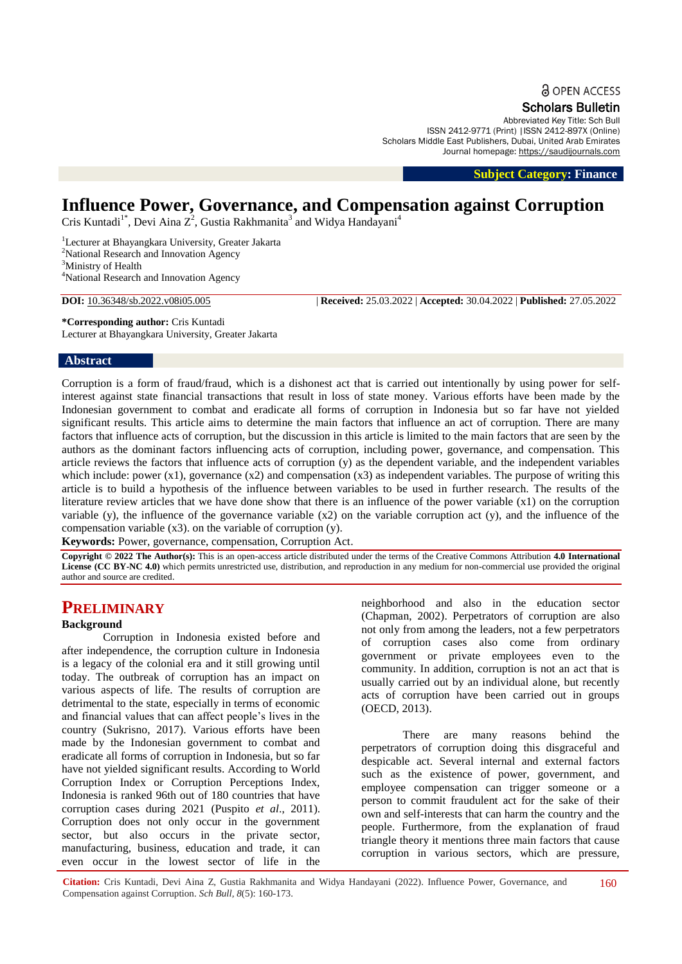**a** OPEN ACCESS

Scholars Bulletin

Abbreviated Key Title: Sch Bull ISSN 2412-9771 (Print) |ISSN 2412-897X (Online) Scholars Middle East Publishers, Dubai, United Arab Emirates Journal homepage: [https://saudijournals.com](https://saudijournals.com/sb)

 **Subject Category: Finance**

# **Influence Power, Governance, and Compensation against Corruption**

Cris Kuntadi<sup>1\*</sup>, Devi Aina Z<sup>2</sup>, Gustia Rakhmanita<sup>3</sup> and Widya Handayani<sup>4</sup>

<sup>1</sup>Lecturer at Bhayangkara University, Greater Jakarta <sup>2</sup>National Research and Innovation Agency <sup>3</sup>Ministry of Health

<sup>4</sup>National Research and Innovation Agency

**DOI:** 10.36348/sb.2022.v08i05.005 | **Received:** 25.03.2022 | **Accepted:** 30.04.2022 | **Published:** 27.05.2022

**\*Corresponding author:** Cris Kuntadi

Lecturer at Bhayangkara University, Greater Jakarta

#### **Abstract**

Corruption is a form of fraud/fraud, which is a dishonest act that is carried out intentionally by using power for selfinterest against state financial transactions that result in loss of state money. Various efforts have been made by the Indonesian government to combat and eradicate all forms of corruption in Indonesia but so far have not yielded significant results. This article aims to determine the main factors that influence an act of corruption. There are many factors that influence acts of corruption, but the discussion in this article is limited to the main factors that are seen by the authors as the dominant factors influencing acts of corruption, including power, governance, and compensation. This article reviews the factors that influence acts of corruption (y) as the dependent variable, and the independent variables which include: power  $(x1)$ , governance  $(x2)$  and compensation  $(x3)$  as independent variables. The purpose of writing this article is to build a hypothesis of the influence between variables to be used in further research. The results of the literature review articles that we have done show that there is an influence of the power variable (x1) on the corruption variable  $(y)$ , the influence of the governance variable  $(x2)$  on the variable corruption act  $(y)$ , and the influence of the compensation variable (x3). on the variable of corruption (y).

**Keywords:** Power, governance, compensation, Corruption Act.

**Copyright © 2022 The Author(s):** This is an open-access article distributed under the terms of the Creative Commons Attribution **4.0 International**  License (CC BY-NC 4.0) which permits unrestricted use, distribution, and reproduction in any medium for non-commercial use provided the original author and source are credited.

# **PRELIMINARY**

#### **Background**

Corruption in Indonesia existed before and after independence, the corruption culture in Indonesia is a legacy of the colonial era and it still growing until today. The outbreak of corruption has an impact on various aspects of life. The results of corruption are detrimental to the state, especially in terms of economic and financial values that can affect people's lives in the country (Sukrisno, 2017). Various efforts have been made by the Indonesian government to combat and eradicate all forms of corruption in Indonesia, but so far have not yielded significant results. According to World Corruption Index or Corruption Perceptions Index, Indonesia is ranked 96th out of 180 countries that have corruption cases during 2021 (Puspito *et al*., 2011). Corruption does not only occur in the government sector, but also occurs in the private sector, manufacturing, business, education and trade, it can even occur in the lowest sector of life in the

neighborhood and also in the education sector (Chapman, 2002). Perpetrators of corruption are also not only from among the leaders, not a few perpetrators of corruption cases also come from ordinary government or private employees even to the community. In addition, corruption is not an act that is usually carried out by an individual alone, but recently acts of corruption have been carried out in groups (OECD, 2013).

There are many reasons behind the perpetrators of corruption doing this disgraceful and despicable act. Several internal and external factors such as the existence of power, government, and employee compensation can trigger someone or a person to commit fraudulent act for the sake of their own and self-interests that can harm the country and the people. Furthermore, from the explanation of fraud triangle theory it mentions three main factors that cause corruption in various sectors, which are pressure,

**Citation:** Cris Kuntadi, Devi Aina Z, Gustia Rakhmanita and Widya Handayani (2022). Influence Power, Governance, and Compensation against Corruption. *Sch Bull, 8*(5): 160-173. 160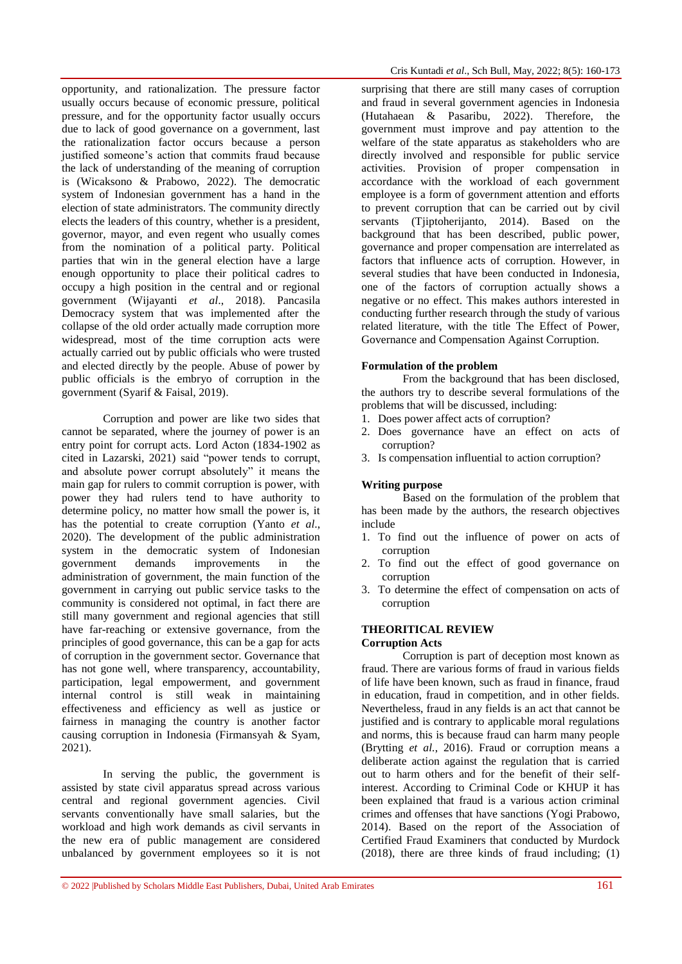opportunity, and rationalization. The pressure factor usually occurs because of economic pressure, political pressure, and for the opportunity factor usually occurs due to lack of good governance on a government, last the rationalization factor occurs because a person justified someone's action that commits fraud because the lack of understanding of the meaning of corruption is (Wicaksono & Prabowo, 2022). The democratic system of Indonesian government has a hand in the election of state administrators. The community directly elects the leaders of this country, whether is a president, governor, mayor, and even regent who usually comes from the nomination of a political party. Political parties that win in the general election have a large enough opportunity to place their political cadres to occupy a high position in the central and or regional government (Wijayanti *et al*., 2018). Pancasila Democracy system that was implemented after the collapse of the old order actually made corruption more widespread, most of the time corruption acts were actually carried out by public officials who were trusted and elected directly by the people. Abuse of power by public officials is the embryo of corruption in the government (Syarif & Faisal, 2019).

Corruption and power are like two sides that cannot be separated, where the journey of power is an entry point for corrupt acts. Lord Acton (1834-1902 as cited in Lazarski, 2021) said "power tends to corrupt, and absolute power corrupt absolutely" it means the main gap for rulers to commit corruption is power, with power they had rulers tend to have authority to determine policy, no matter how small the power is, it has the potential to create corruption (Yanto *et al*., 2020). The development of the public administration system in the democratic system of Indonesian government demands improvements in the administration of government, the main function of the government in carrying out public service tasks to the community is considered not optimal, in fact there are still many government and regional agencies that still have far-reaching or extensive governance, from the principles of good governance, this can be a gap for acts of corruption in the government sector. Governance that has not gone well, where transparency, accountability, participation, legal empowerment, and government internal control is still weak in maintaining effectiveness and efficiency as well as justice or fairness in managing the country is another factor causing corruption in Indonesia (Firmansyah & Syam, 2021).

In serving the public, the government is assisted by state civil apparatus spread across various central and regional government agencies. Civil servants conventionally have small salaries, but the workload and high work demands as civil servants in the new era of public management are considered unbalanced by government employees so it is not surprising that there are still many cases of corruption and fraud in several government agencies in Indonesia (Hutahaean & Pasaribu, 2022). Therefore, the government must improve and pay attention to the welfare of the state apparatus as stakeholders who are directly involved and responsible for public service activities. Provision of proper compensation in accordance with the workload of each government employee is a form of government attention and efforts to prevent corruption that can be carried out by civil servants (Tjiptoherijanto, 2014). Based on the background that has been described, public power, governance and proper compensation are interrelated as factors that influence acts of corruption. However, in several studies that have been conducted in Indonesia, one of the factors of corruption actually shows a negative or no effect. This makes authors interested in conducting further research through the study of various related literature, with the title The Effect of Power, Governance and Compensation Against Corruption.

# **Formulation of the problem**

From the background that has been disclosed, the authors try to describe several formulations of the problems that will be discussed, including:

- 1. Does power affect acts of corruption?
- 2. Does governance have an effect on acts of corruption?
- 3. Is compensation influential to action corruption?

#### **Writing purpose**

Based on the formulation of the problem that has been made by the authors, the research objectives include

- 1. To find out the influence of power on acts of corruption
- 2. To find out the effect of good governance on corruption
- 3. To determine the effect of compensation on acts of corruption

#### **THEORITICAL REVIEW**

#### **Corruption Acts**

Corruption is part of deception most known as fraud. There are various forms of fraud in various fields of life have been known, such as fraud in finance, fraud in education, fraud in competition, and in other fields. Nevertheless, fraud in any fields is an act that cannot be justified and is contrary to applicable moral regulations and norms, this is because fraud can harm many people (Brytting *et al.*, 2016). Fraud or corruption means a deliberate action against the regulation that is carried out to harm others and for the benefit of their selfinterest. According to Criminal Code or KHUP it has been explained that fraud is a various action criminal crimes and offenses that have sanctions (Yogi Prabowo, 2014). Based on the report of the Association of Certified Fraud Examiners that conducted by Murdock (2018), there are three kinds of fraud including; (1)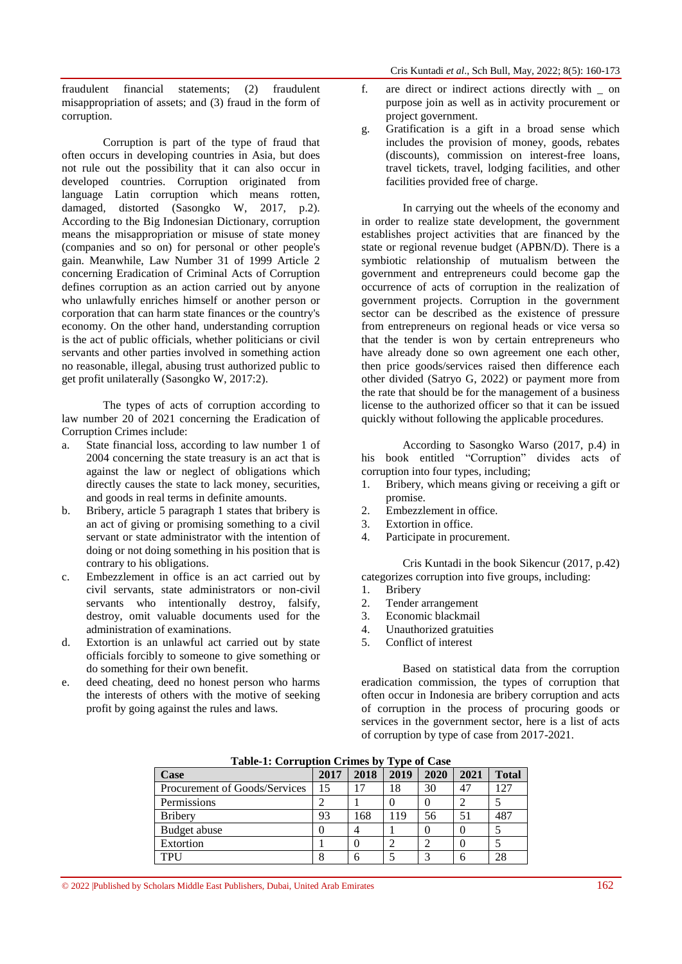fraudulent financial statements; (2) fraudulent misappropriation of assets; and (3) fraud in the form of corruption.

Corruption is part of the type of fraud that often occurs in developing countries in Asia, but does not rule out the possibility that it can also occur in developed countries. Corruption originated from language Latin corruption which means rotten, damaged, distorted (Sasongko W, 2017, p.2). According to the Big Indonesian Dictionary, corruption means the misappropriation or misuse of state money (companies and so on) for personal or other people's gain. Meanwhile, Law Number 31 of 1999 Article 2 concerning Eradication of Criminal Acts of Corruption defines corruption as an action carried out by anyone who unlawfully enriches himself or another person or corporation that can harm state finances or the country's economy. On the other hand, understanding corruption is the act of public officials, whether politicians or civil servants and other parties involved in something action no reasonable, illegal, abusing trust authorized public to get profit unilaterally (Sasongko W, 2017:2).

The types of acts of corruption according to law number 20 of 2021 concerning the Eradication of Corruption Crimes include:

- a. State financial loss, according to law number 1 of 2004 concerning the state treasury is an act that is against the law or neglect of obligations which directly causes the state to lack money, securities, and goods in real terms in definite amounts.
- b. Bribery, article 5 paragraph 1 states that bribery is an act of giving or promising something to a civil servant or state administrator with the intention of doing or not doing something in his position that is contrary to his obligations.
- c. Embezzlement in office is an act carried out by civil servants, state administrators or non-civil servants who intentionally destroy, falsify, destroy, omit valuable documents used for the administration of examinations.
- d. Extortion is an unlawful act carried out by state officials forcibly to someone to give something or do something for their own benefit.
- e. deed cheating, deed no honest person who harms the interests of others with the motive of seeking profit by going against the rules and laws.
- f. are direct or indirect actions directly with \_ on purpose join as well as in activity procurement or project government.
- g. Gratification is a gift in a broad sense which includes the provision of money, goods, rebates (discounts), commission on interest-free loans, travel tickets, travel, lodging facilities, and other facilities provided free of charge.

In carrying out the wheels of the economy and in order to realize state development, the government establishes project activities that are financed by the state or regional revenue budget (APBN/D). There is a symbiotic relationship of mutualism between the government and entrepreneurs could become gap the occurrence of acts of corruption in the realization of government projects. Corruption in the government sector can be described as the existence of pressure from entrepreneurs on regional heads or vice versa so that the tender is won by certain entrepreneurs who have already done so own agreement one each other, then price goods/services raised then difference each other divided (Satryo G, 2022) or payment more from the rate that should be for the management of a business license to the authorized officer so that it can be issued quickly without following the applicable procedures.

According to Sasongko Warso (2017, p.4) in his book entitled "Corruption" divides acts of corruption into four types, including;

- 1. Bribery, which means giving or receiving a gift or promise.
- 2. Embezzlement in office.
- 3. Extortion in office.
- 4. Participate in procurement.

Cris Kuntadi in the book Sikencur (2017, p.42) categorizes corruption into five groups, including:

- 1. Bribery
- 2. Tender arrangement
- 3. Economic blackmail
- 4. Unauthorized gratuities
- 5. Conflict of interest

Based on statistical data from the corruption eradication commission, the types of corruption that often occur in Indonesia are bribery corruption and acts of corruption in the process of procuring goods or services in the government sector, here is a list of acts of corruption by type of case from 2017-2021.

| $\frac{1}{2}$<br>$\mathbf{A}$ , pv of out |      |      |      |      |      |              |
|-------------------------------------------|------|------|------|------|------|--------------|
| Case                                      | 2017 | 2018 | 2019 | 2020 | 2021 | <b>Total</b> |
| Procurement of Goods/Services             | 15   |      | 18   | 30   | 47   | 27           |
| Permissions                               |      |      |      |      |      |              |
| <b>Bribery</b>                            | 93   | 168  | 119  | 56   | 51   | 487          |
| Budget abuse                              |      |      |      |      |      |              |
| Extortion                                 |      |      |      | ◠    |      |              |
| TPH                                       |      | h    |      | ⌒    |      | 28           |

**Table-1: Corruption Crimes by Type of Case**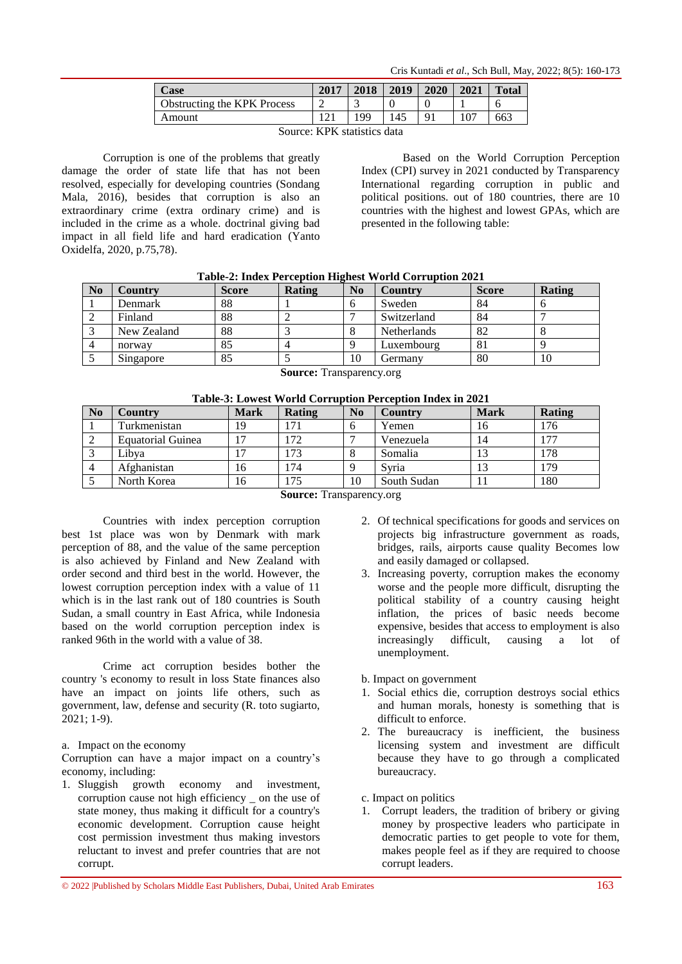Cris Kuntadi *et al*., Sch Bull, May, 2022; 8(5): 160-173

| <b>Case</b>                        | 2017 | 2018 | 2019 | 2020     | 2021 | <b>Total</b> |
|------------------------------------|------|------|------|----------|------|--------------|
| <b>Obstructing the KPK Process</b> |      |      |      |          |      | O            |
| Amount                             |      | 199  | .45  | $\Omega$ |      | 663          |

Source: KPK statistics data

Corruption is one of the problems that greatly damage the order of state life that has not been resolved, especially for developing countries (Sondang Mala, 2016), besides that corruption is also an extraordinary crime (extra ordinary crime) and is included in the crime as a whole. doctrinal giving bad impact in all field life and hard eradication (Yanto Oxidelfa, 2020, p.75,78).

Based on the World Corruption Perception Index (CPI) survey in 2021 conducted by Transparency International regarding corruption in public and political positions. out of 180 countries, there are 10 countries with the highest and lowest GPAs, which are presented in the following table:

|          | Table-2; Thuex Perception Highest World Corruption 2021 |              |        |    |             |              |        |  |
|----------|---------------------------------------------------------|--------------|--------|----|-------------|--------------|--------|--|
| $\bf No$ | Country                                                 | <b>Score</b> | Rating | No | Country     | <b>Score</b> | Rating |  |
|          | Denmark                                                 | 88           |        |    | Sweden      | 84           |        |  |
|          | Finland                                                 | 88           |        |    | Switzerland | 84           |        |  |
|          | New Zealand                                             | 88           |        |    | Netherlands | 82           |        |  |
|          | norway                                                  | 85           |        |    | Luxembourg  | 81           |        |  |
|          | Singapore                                               | 85           |        | 10 | Germany     | 80           | 10     |  |
|          |                                                         |              |        |    |             |              |        |  |

# **Table-2: Index Perception Highest World Corruption 2021**

**Source:** Transparency.org

|  |  | Table-3: Lowest World Corruption Perception Index in 2021 |  |
|--|--|-----------------------------------------------------------|--|
|  |  |                                                           |  |

| N <sub>0</sub> | <b>Country</b>           | <b>Mark</b> | Rating | N <sub>0</sub> | Country     | <b>Mark</b> | Rating |
|----------------|--------------------------|-------------|--------|----------------|-------------|-------------|--------|
|                | Turkmenistan             | 19          | 171    | n              | Yemen       | 16          | 176    |
|                | <b>Equatorial Guinea</b> |             | 172    |                | Venezuela   | 14          | 177    |
|                | Libva                    |             | 173    |                | Somalia     | 13          | 178    |
|                | Afghanistan              | 16          | 174    |                | Svria       | 13          | 179    |
|                | North Korea              | 16          | 175    | 10             | South Sudan |             | 180    |
|                |                          |             |        |                |             |             |        |

**Source:** Transparency.org

Countries with index perception corruption best 1st place was won by Denmark with mark perception of 88, and the value of the same perception is also achieved by Finland and New Zealand with order second and third best in the world. However, the lowest corruption perception index with a value of 11 which is in the last rank out of 180 countries is South Sudan, a small country in East Africa, while Indonesia based on the world corruption perception index is ranked 96th in the world with a value of 38.

Crime act corruption besides bother the country 's economy to result in loss State finances also have an impact on joints life others, such as government, law, defense and security (R. toto sugiarto, 2021; 1-9).

#### a. Impact on the economy

Corruption can have a major impact on a country's economy, including:

1. Sluggish growth economy and investment, corruption cause not high efficiency \_ on the use of state money, thus making it difficult for a country's economic development. Corruption cause height cost permission investment thus making investors reluctant to invest and prefer countries that are not corrupt.

- 2. Of technical specifications for goods and services on projects big infrastructure government as roads, bridges, rails, airports cause quality Becomes low and easily damaged or collapsed.
- 3. Increasing poverty, corruption makes the economy worse and the people more difficult, disrupting the political stability of a country causing height inflation, the prices of basic needs become expensive, besides that access to employment is also increasingly difficult, causing a lot of unemployment.

b. Impact on government

- 1. Social ethics die, corruption destroys social ethics and human morals, honesty is something that is difficult to enforce.
- 2. The bureaucracy is inefficient, the business licensing system and investment are difficult because they have to go through a complicated bureaucracy.
- c. Impact on politics
- 1. Corrupt leaders, the tradition of bribery or giving money by prospective leaders who participate in democratic parties to get people to vote for them, makes people feel as if they are required to choose corrupt leaders.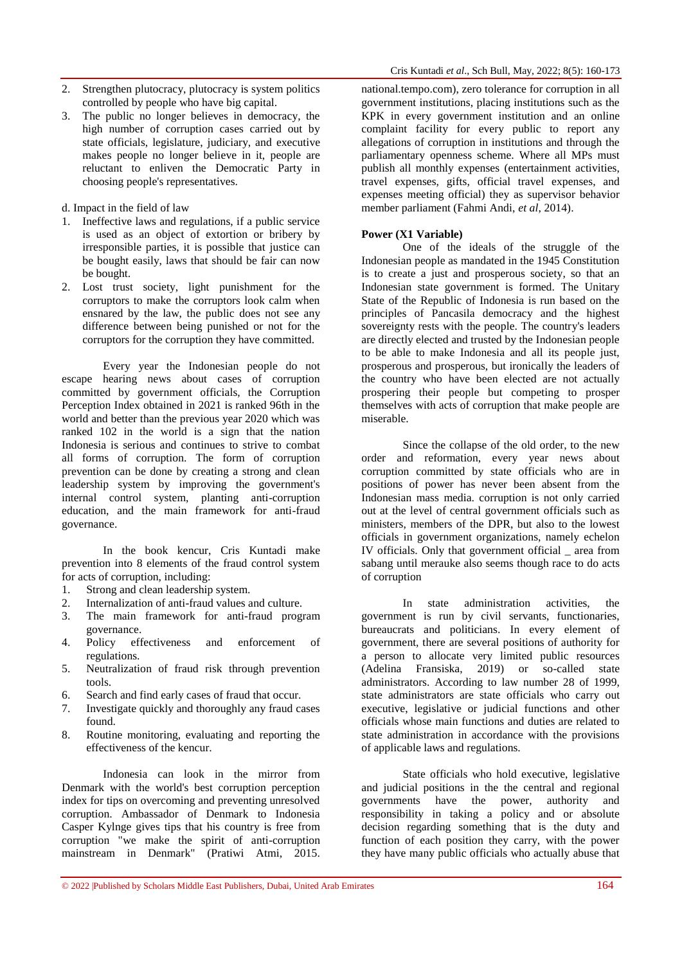- 2. Strengthen plutocracy, plutocracy is system politics controlled by people who have big capital.
- 3. The public no longer believes in democracy, the high number of corruption cases carried out by state officials, legislature, judiciary, and executive makes people no longer believe in it, people are reluctant to enliven the Democratic Party in choosing people's representatives.

d. Impact in the field of law

- 1. Ineffective laws and regulations, if a public service is used as an object of extortion or bribery by irresponsible parties, it is possible that justice can be bought easily, laws that should be fair can now be bought.
- 2. Lost trust society, light punishment for the corruptors to make the corruptors look calm when ensnared by the law, the public does not see any difference between being punished or not for the corruptors for the corruption they have committed.

Every year the Indonesian people do not escape hearing news about cases of corruption committed by government officials, the Corruption Perception Index obtained in 2021 is ranked 96th in the world and better than the previous year 2020 which was ranked 102 in the world is a sign that the nation Indonesia is serious and continues to strive to combat all forms of corruption. The form of corruption prevention can be done by creating a strong and clean leadership system by improving the government's internal control system, planting anti-corruption education, and the main framework for anti-fraud governance.

In the book kencur, Cris Kuntadi make prevention into 8 elements of the fraud control system for acts of corruption, including:

- 1. Strong and clean leadership system.
- 2. Internalization of anti-fraud values and culture.
- 3. The main framework for anti-fraud program governance.
- 4. Policy effectiveness and enforcement of regulations.
- 5. Neutralization of fraud risk through prevention tools.
- 6. Search and find early cases of fraud that occur.
- 7. Investigate quickly and thoroughly any fraud cases found.
- 8. Routine monitoring, evaluating and reporting the effectiveness of the kencur.

Indonesia can look in the mirror from Denmark with the world's best corruption perception index for tips on overcoming and preventing unresolved corruption. Ambassador of Denmark to Indonesia Casper Kylnge gives tips that his country is free from corruption "we make the spirit of anti-corruption mainstream in Denmark" (Pratiwi Atmi, 2015.

national.tempo.com), zero tolerance for corruption in all government institutions, placing institutions such as the KPK in every government institution and an online complaint facility for every public to report any allegations of corruption in institutions and through the parliamentary openness scheme. Where all MPs must publish all monthly expenses (entertainment activities, travel expenses, gifts, official travel expenses, and expenses meeting official) they as supervisor behavior member parliament (Fahmi Andi, *et al*, 2014).

### **Power (X1 Variable)**

One of the ideals of the struggle of the Indonesian people as mandated in the 1945 Constitution is to create a just and prosperous society, so that an Indonesian state government is formed. The Unitary State of the Republic of Indonesia is run based on the principles of Pancasila democracy and the highest sovereignty rests with the people. The country's leaders are directly elected and trusted by the Indonesian people to be able to make Indonesia and all its people just, prosperous and prosperous, but ironically the leaders of the country who have been elected are not actually prospering their people but competing to prosper themselves with acts of corruption that make people are miserable.

Since the collapse of the old order, to the new order and reformation, every year news about corruption committed by state officials who are in positions of power has never been absent from the Indonesian mass media. corruption is not only carried out at the level of central government officials such as ministers, members of the DPR, but also to the lowest officials in government organizations, namely echelon IV officials. Only that government official \_ area from sabang until merauke also seems though race to do acts of corruption

In state administration activities, the government is run by civil servants, functionaries, bureaucrats and politicians. In every element of government, there are several positions of authority for a person to allocate very limited public resources (Adelina Fransiska, 2019) or so-called state administrators. According to law number 28 of 1999, state administrators are state officials who carry out executive, legislative or judicial functions and other officials whose main functions and duties are related to state administration in accordance with the provisions of applicable laws and regulations.

State officials who hold executive, legislative and judicial positions in the the central and regional governments have the power, authority and responsibility in taking a policy and or absolute decision regarding something that is the duty and function of each position they carry, with the power they have many public officials who actually abuse that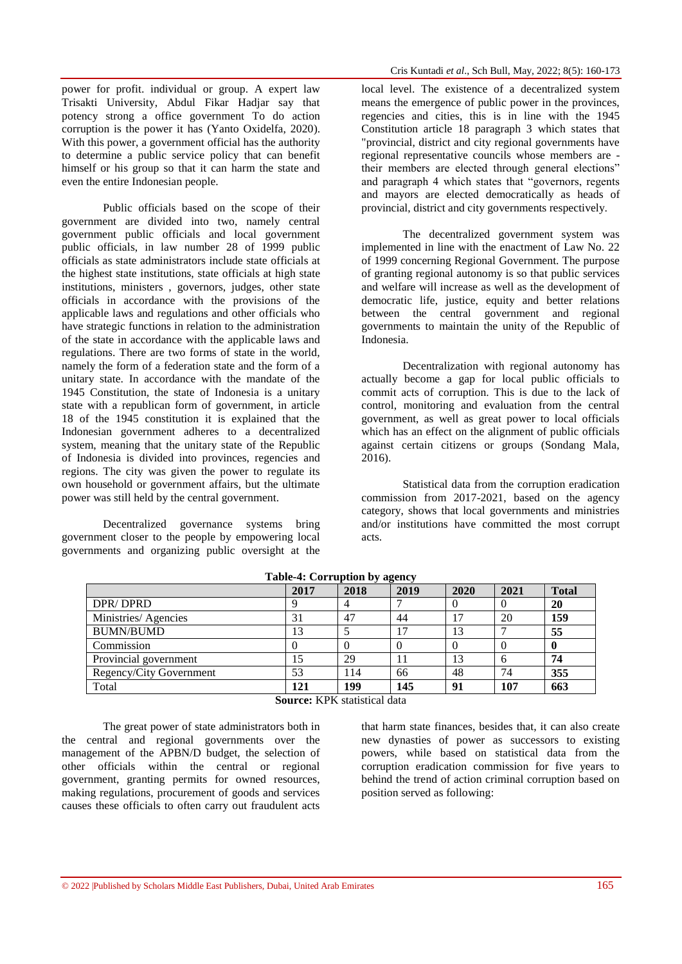power for profit. individual or group. A expert law Trisakti University, Abdul Fikar Hadjar say that potency strong a office government To do action corruption is the power it has (Yanto Oxidelfa, 2020). With this power, a government official has the authority to determine a public service policy that can benefit himself or his group so that it can harm the state and even the entire Indonesian people.

Public officials based on the scope of their government are divided into two, namely central government public officials and local government public officials, in law number 28 of 1999 public officials as state administrators include state officials at the highest state institutions, state officials at high state institutions, ministers , governors, judges, other state officials in accordance with the provisions of the applicable laws and regulations and other officials who have strategic functions in relation to the administration of the state in accordance with the applicable laws and regulations. There are two forms of state in the world, namely the form of a federation state and the form of a unitary state. In accordance with the mandate of the 1945 Constitution, the state of Indonesia is a unitary state with a republican form of government, in article 18 of the 1945 constitution it is explained that the Indonesian government adheres to a decentralized system, meaning that the unitary state of the Republic of Indonesia is divided into provinces, regencies and regions. The city was given the power to regulate its own household or government affairs, but the ultimate power was still held by the central government.

Decentralized governance systems bring government closer to the people by empowering local governments and organizing public oversight at the

local level. The existence of a decentralized system means the emergence of public power in the provinces, regencies and cities, this is in line with the 1945 Constitution article 18 paragraph 3 which states that "provincial, district and city regional governments have regional representative councils whose members are their members are elected through general elections" and paragraph 4 which states that "governors, regents and mayors are elected democratically as heads of provincial, district and city governments respectively.

The decentralized government system was implemented in line with the enactment of Law No. 22 of 1999 concerning Regional Government. The purpose of granting regional autonomy is so that public services and welfare will increase as well as the development of democratic life, justice, equity and better relations between the central government and regional governments to maintain the unity of the Republic of Indonesia.

Decentralization with regional autonomy has actually become a gap for local public officials to commit acts of corruption. This is due to the lack of control, monitoring and evaluation from the central government, as well as great power to local officials which has an effect on the alignment of public officials against certain citizens or groups (Sondang Mala, 2016).

Statistical data from the corruption eradication commission from 2017-2021, based on the agency category, shows that local governments and ministries and/or institutions have committed the most corrupt acts.

| Table-4. Corruption by agency |      |      |      |          |      |              |  |
|-------------------------------|------|------|------|----------|------|--------------|--|
|                               | 2017 | 2018 | 2019 | 2020     | 2021 | <b>Total</b> |  |
| DPR/DPRD                      |      |      |      | 0        |      | 20           |  |
| Ministries/Agencies           | 31   | 47   | 44   | 17       | 20   | 159          |  |
| <b>BUMN/BUMD</b>              | 13   |      | 17   | 13       |      | 55           |  |
| Commission                    |      |      |      | $\Omega$ |      | 0            |  |
| Provincial government         | 15   | 29   | 11   | 13       |      | 74           |  |
| Regency/City Government       | 53   | 114  | 66   | 48       | 74   | 355          |  |
| Total                         | 121  | 199  | 145  | 91       | 107  | 663          |  |

**Table-4: Corruption by agency**

**Source:** KPK statistical data

The great power of state administrators both in the central and regional governments over the management of the APBN/D budget, the selection of other officials within the central or regional government, granting permits for owned resources, making regulations, procurement of goods and services causes these officials to often carry out fraudulent acts

that harm state finances, besides that, it can also create new dynasties of power as successors to existing powers, while based on statistical data from the corruption eradication commission for five years to behind the trend of action criminal corruption based on position served as following: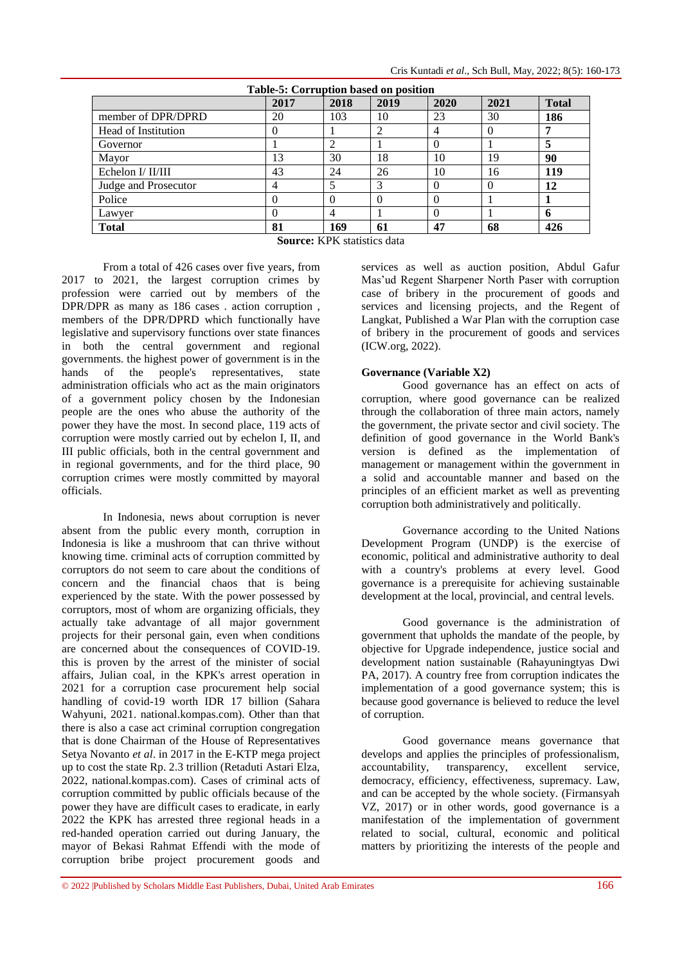|                      | Table-5: Corruption based on position |      |      |      |          |              |  |  |
|----------------------|---------------------------------------|------|------|------|----------|--------------|--|--|
|                      | 2017                                  | 2018 | 2019 | 2020 | 2021     | <b>Total</b> |  |  |
| member of DPR/DPRD   | 20                                    | 103  | 10   | 23   | 30       | 186          |  |  |
| Head of Institution  | $\theta$                              |      |      | 4    | $\Omega$ | 7            |  |  |
| Governor             |                                       |      |      | 0    |          | 5            |  |  |
| Mayor                | 13                                    | 30   | 18   | 10   | 19       | 90           |  |  |
| Echelon I/ II/III    | 43                                    | 24   | 26   | 10   | 16       | 119          |  |  |
| Judge and Prosecutor | 4                                     |      |      | 0    | $\theta$ | 12           |  |  |
| Police               | $\theta$                              |      |      | 0    |          |              |  |  |
| Lawyer               | $\theta$                              |      |      |      |          | 6            |  |  |
| <b>Total</b>         | 81                                    | 169  | 61   | 47   | 68       | 426          |  |  |
|                      | <b>Cource:</b> KDK statistics data    |      |      |      |          |              |  |  |



From a total of 426 cases over five years, from 2017 to 2021, the largest corruption crimes by profession were carried out by members of the DPR/DPR as many as 186 cases . action corruption , members of the DPR/DPRD which functionally have legislative and supervisory functions over state finances in both the central government and regional governments. the highest power of government is in the hands of the people's representatives, state administration officials who act as the main originators of a government policy chosen by the Indonesian people are the ones who abuse the authority of the power they have the most. In second place, 119 acts of corruption were mostly carried out by echelon I, II, and III public officials, both in the central government and in regional governments, and for the third place, 90 corruption crimes were mostly committed by mayoral officials.

In Indonesia, news about corruption is never absent from the public every month, corruption in Indonesia is like a mushroom that can thrive without knowing time. criminal acts of corruption committed by corruptors do not seem to care about the conditions of concern and the financial chaos that is being experienced by the state. With the power possessed by corruptors, most of whom are organizing officials, they actually take advantage of all major government projects for their personal gain, even when conditions are concerned about the consequences of COVID-19. this is proven by the arrest of the minister of social affairs, Julian coal, in the KPK's arrest operation in 2021 for a corruption case procurement help social handling of covid-19 worth IDR 17 billion (Sahara Wahyuni, 2021. national.kompas.com). Other than that there is also a case act criminal corruption congregation that is done Chairman of the House of Representatives Setya Novanto *et al*. in 2017 in the E-KTP mega project up to cost the state Rp. 2.3 trillion (Retaduti Astari Elza, 2022, national.kompas.com). Cases of criminal acts of corruption committed by public officials because of the power they have are difficult cases to eradicate, in early 2022 the KPK has arrested three regional heads in a red-handed operation carried out during January, the mayor of Bekasi Rahmat Effendi with the mode of corruption bribe project procurement goods and

services as well as auction position, Abdul Gafur Mas'ud Regent Sharpener North Paser with corruption case of bribery in the procurement of goods and services and licensing projects, and the Regent of Langkat, Published a War Plan with the corruption case of bribery in the procurement of goods and services (ICW.org, 2022).

# **Governance (Variable X2)**

Good governance has an effect on acts of corruption, where good governance can be realized through the collaboration of three main actors, namely the government, the private sector and civil society. The definition of good governance in the World Bank's version is defined as the implementation of management or management within the government in a solid and accountable manner and based on the principles of an efficient market as well as preventing corruption both administratively and politically.

Governance according to the United Nations Development Program (UNDP) is the exercise of economic, political and administrative authority to deal with a country's problems at every level. Good governance is a prerequisite for achieving sustainable development at the local, provincial, and central levels.

Good governance is the administration of government that upholds the mandate of the people, by objective for Upgrade independence, justice social and development nation sustainable (Rahayuningtyas Dwi PA, 2017). A country free from corruption indicates the implementation of a good governance system; this is because good governance is believed to reduce the level of corruption.

Good governance means governance that develops and applies the principles of professionalism, accountability, transparency, excellent service, democracy, efficiency, effectiveness, supremacy. Law, and can be accepted by the whole society. (Firmansyah VZ, 2017) or in other words, good governance is a manifestation of the implementation of government related to social, cultural, economic and political matters by prioritizing the interests of the people and

**Source:** KPK statistics data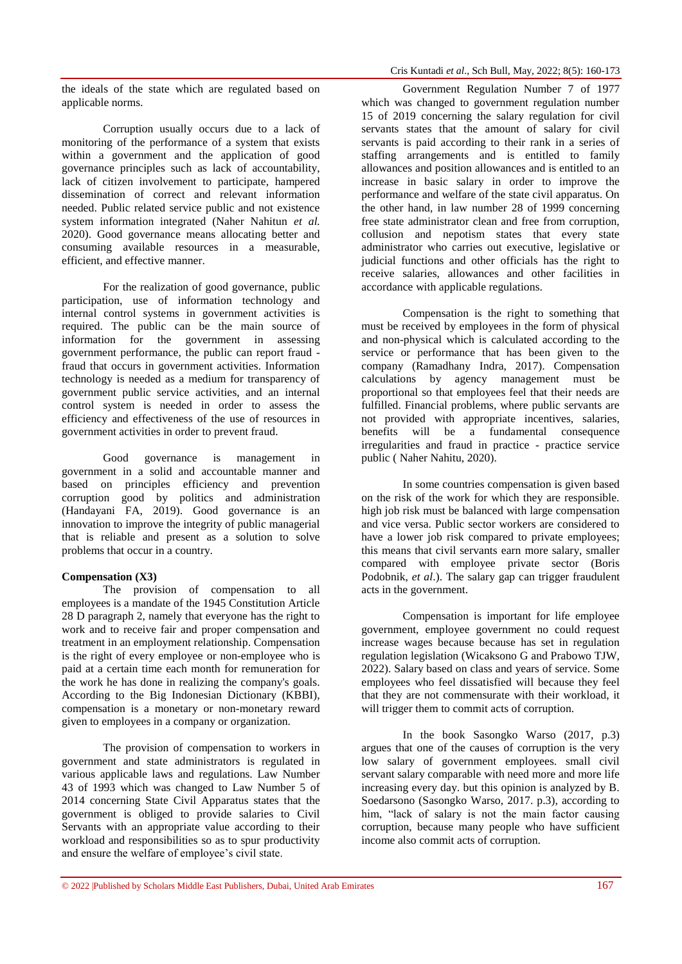the ideals of the state which are regulated based on applicable norms.

Corruption usually occurs due to a lack of monitoring of the performance of a system that exists within a government and the application of good governance principles such as lack of accountability, lack of citizen involvement to participate, hampered dissemination of correct and relevant information needed. Public related service public and not existence system information integrated (Naher Nahitun *et al.* 2020). Good governance means allocating better and consuming available resources in a measurable, efficient, and effective manner.

For the realization of good governance, public participation, use of information technology and internal control systems in government activities is required. The public can be the main source of information for the government in assessing government performance, the public can report fraud fraud that occurs in government activities. Information technology is needed as a medium for transparency of government public service activities, and an internal control system is needed in order to assess the efficiency and effectiveness of the use of resources in government activities in order to prevent fraud.

Good governance is management in government in a solid and accountable manner and based on principles efficiency and prevention corruption good by politics and administration (Handayani FA, 2019). Good governance is an innovation to improve the integrity of public managerial that is reliable and present as a solution to solve problems that occur in a country.

#### **Compensation (X3)**

The provision of compensation to all employees is a mandate of the 1945 Constitution Article 28 D paragraph 2, namely that everyone has the right to work and to receive fair and proper compensation and treatment in an employment relationship. Compensation is the right of every employee or non-employee who is paid at a certain time each month for remuneration for the work he has done in realizing the company's goals. According to the Big Indonesian Dictionary (KBBI), compensation is a monetary or non-monetary reward given to employees in a company or organization.

The provision of compensation to workers in government and state administrators is regulated in various applicable laws and regulations. Law Number 43 of 1993 which was changed to Law Number 5 of 2014 concerning State Civil Apparatus states that the government is obliged to provide salaries to Civil Servants with an appropriate value according to their workload and responsibilities so as to spur productivity and ensure the welfare of employee's civil state.

Government Regulation Number 7 of 1977 which was changed to government regulation number 15 of 2019 concerning the salary regulation for civil servants states that the amount of salary for civil servants is paid according to their rank in a series of staffing arrangements and is entitled to family allowances and position allowances and is entitled to an increase in basic salary in order to improve the performance and welfare of the state civil apparatus. On the other hand, in law number 28 of 1999 concerning free state administrator clean and free from corruption, collusion and nepotism states that every state administrator who carries out executive, legislative or judicial functions and other officials has the right to receive salaries, allowances and other facilities in accordance with applicable regulations.

Compensation is the right to something that must be received by employees in the form of physical and non-physical which is calculated according to the service or performance that has been given to the company (Ramadhany Indra, 2017). Compensation calculations by agency management must be proportional so that employees feel that their needs are fulfilled. Financial problems, where public servants are not provided with appropriate incentives, salaries, benefits will be a fundamental consequence irregularities and fraud in practice - practice service public ( Naher Nahitu, 2020).

In some countries compensation is given based on the risk of the work for which they are responsible. high job risk must be balanced with large compensation and vice versa. Public sector workers are considered to have a lower job risk compared to private employees: this means that civil servants earn more salary, smaller compared with employee private sector (Boris Podobnik, *et al*.). The salary gap can trigger fraudulent acts in the government.

Compensation is important for life employee government, employee government no could request increase wages because because has set in regulation regulation legislation (Wicaksono G and Prabowo TJW, 2022). Salary based on class and years of service. Some employees who feel dissatisfied will because they feel that they are not commensurate with their workload, it will trigger them to commit acts of corruption.

In the book Sasongko Warso (2017, p.3) argues that one of the causes of corruption is the very low salary of government employees. small civil servant salary comparable with need more and more life increasing every day. but this opinion is analyzed by B. Soedarsono (Sasongko Warso, 2017. p.3), according to him, "lack of salary is not the main factor causing corruption, because many people who have sufficient income also commit acts of corruption.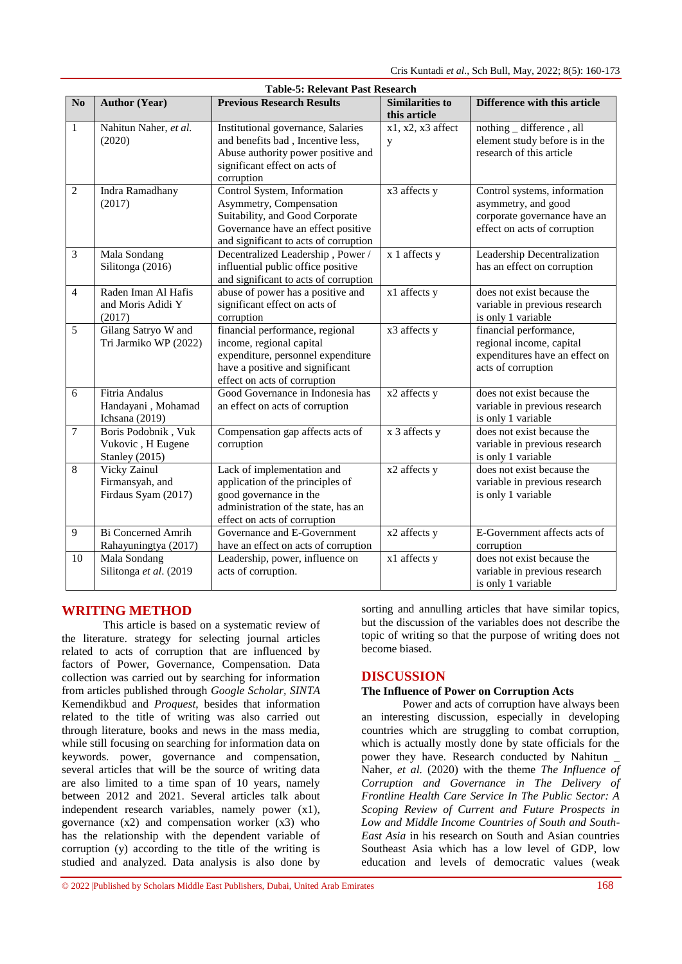|                         | <b>Table-5: Relevant Past Research</b>                     |                                                                                                                                                                          |                                        |                                                                                                                     |  |  |  |  |
|-------------------------|------------------------------------------------------------|--------------------------------------------------------------------------------------------------------------------------------------------------------------------------|----------------------------------------|---------------------------------------------------------------------------------------------------------------------|--|--|--|--|
| N <sub>o</sub>          | <b>Author (Year)</b>                                       | <b>Previous Research Results</b>                                                                                                                                         | <b>Similarities to</b><br>this article | <b>Difference with this article</b>                                                                                 |  |  |  |  |
| $\mathbf{1}$            | Nahitun Naher, et al.<br>(2020)                            | Institutional governance, Salaries<br>and benefits bad, Incentive less,<br>Abuse authority power positive and<br>significant effect on acts of<br>corruption             | $x1, x2, x3$ affect<br>y               | nothing _ difference, all<br>element study before is in the<br>research of this article                             |  |  |  |  |
| 2                       | Indra Ramadhany<br>(2017)                                  | Control System, Information<br>Asymmetry, Compensation<br>Suitability, and Good Corporate<br>Governance have an effect positive<br>and significant to acts of corruption | x3 affects y                           | Control systems, information<br>asymmetry, and good<br>corporate governance have an<br>effect on acts of corruption |  |  |  |  |
| $\overline{\mathbf{3}}$ | Mala Sondang<br>Silitonga (2016)                           | Decentralized Leadership, Power /<br>influential public office positive<br>and significant to acts of corruption                                                         | x 1 affects y                          | Leadership Decentralization<br>has an effect on corruption                                                          |  |  |  |  |
| $\overline{4}$          | Raden Iman Al Hafis<br>and Moris Adidi Y<br>(2017)         | abuse of power has a positive and<br>significant effect on acts of<br>corruption                                                                                         | x1 affects y                           | does not exist because the<br>variable in previous research<br>is only 1 variable                                   |  |  |  |  |
| $\overline{5}$          | Gilang Satryo W and<br>Tri Jarmiko WP (2022)               | financial performance, regional<br>income, regional capital<br>expenditure, personnel expenditure<br>have a positive and significant<br>effect on acts of corruption     | x3 affects y                           | financial performance,<br>regional income, capital<br>expenditures have an effect on<br>acts of corruption          |  |  |  |  |
| 6                       | Fitria Andalus<br>Handayani, Mohamad<br>Ichsana (2019)     | Good Governance in Indonesia has<br>an effect on acts of corruption                                                                                                      | x2 affects y                           | does not exist because the<br>variable in previous research<br>is only 1 variable                                   |  |  |  |  |
| $\overline{7}$          | Boris Podobnik, Vuk<br>Vukovic, H Eugene<br>Stanley (2015) | Compensation gap affects acts of<br>corruption                                                                                                                           | x 3 affects y                          | does not exist because the<br>variable in previous research<br>is only 1 variable                                   |  |  |  |  |
| 8                       | Vicky Zainul<br>Firmansyah, and<br>Firdaus Syam (2017)     | Lack of implementation and<br>application of the principles of<br>good governance in the<br>administration of the state, has an<br>effect on acts of corruption          | x2 affects y                           | does not exist because the<br>variable in previous research<br>is only 1 variable                                   |  |  |  |  |
| 9                       | <b>Bi Concerned Amrih</b><br>Rahayuningtya (2017)          | Governance and E-Government<br>have an effect on acts of corruption                                                                                                      | x2 affects y                           | E-Government affects acts of<br>corruption                                                                          |  |  |  |  |
| 10                      | Mala Sondang<br>Silitonga et al. (2019                     | Leadership, power, influence on<br>acts of corruption.                                                                                                                   | x1 affects y                           | does not exist because the<br>variable in previous research<br>is only 1 variable                                   |  |  |  |  |

# **WRITING METHOD**

This article is based on a systematic review of the literature. strategy for selecting journal articles related to acts of corruption that are influenced by factors of Power, Governance, Compensation. Data collection was carried out by searching for information from articles published through *Google Scholar, SINTA*  Kemendikbud and *Proquest*, besides that information related to the title of writing was also carried out through literature, books and news in the mass media, while still focusing on searching for information data on keywords. power, governance and compensation, several articles that will be the source of writing data are also limited to a time span of 10 years, namely between 2012 and 2021. Several articles talk about independent research variables, namely power (x1), governance  $(x2)$  and compensation worker  $(x3)$  who has the relationship with the dependent variable of corruption (y) according to the title of the writing is studied and analyzed. Data analysis is also done by

sorting and annulling articles that have similar topics, but the discussion of the variables does not describe the topic of writing so that the purpose of writing does not become biased.

# **DISCUSSION**

### **The Influence of Power on Corruption Acts**

Power and acts of corruption have always been an interesting discussion, especially in developing countries which are struggling to combat corruption, which is actually mostly done by state officials for the power they have. Research conducted by Nahitun \_ Naher, *et al.* (2020) with the theme *The Influence of Corruption and Governance in The Delivery of Frontline Health Care Service In The Public Sector: A Scoping Review of Current and Future Prospects in Low and Middle Income Countries of South and South-East Asia* in his research on South and Asian countries Southeast Asia which has a low level of GDP, low education and levels of democratic values (weak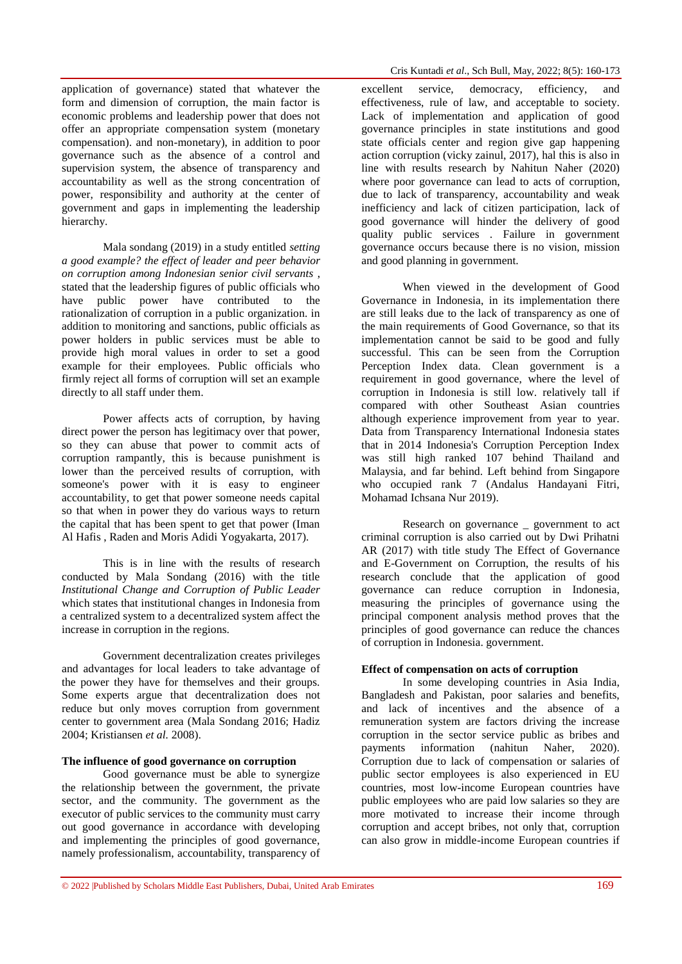application of governance) stated that whatever the form and dimension of corruption, the main factor is economic problems and leadership power that does not offer an appropriate compensation system (monetary compensation). and non-monetary), in addition to poor governance such as the absence of a control and supervision system, the absence of transparency and accountability as well as the strong concentration of power, responsibility and authority at the center of government and gaps in implementing the leadership hierarchy.

Mala sondang (2019) in a study entitled *setting a good example? the effect of leader and peer behavior on corruption among Indonesian senior civil servants* , stated that the leadership figures of public officials who have public power have contributed to the rationalization of corruption in a public organization. in addition to monitoring and sanctions, public officials as power holders in public services must be able to provide high moral values in order to set a good example for their employees. Public officials who firmly reject all forms of corruption will set an example directly to all staff under them.

Power affects acts of corruption, by having direct power the person has legitimacy over that power, so they can abuse that power to commit acts of corruption rampantly, this is because punishment is lower than the perceived results of corruption, with someone's power with it is easy to engineer accountability, to get that power someone needs capital so that when in power they do various ways to return the capital that has been spent to get that power (Iman Al Hafis , Raden and Moris Adidi Yogyakarta, 2017).

This is in line with the results of research conducted by Mala Sondang (2016) with the title *Institutional Change and Corruption of Public Leader*  which states that institutional changes in Indonesia from a centralized system to a decentralized system affect the increase in corruption in the regions.

Government decentralization creates privileges and advantages for local leaders to take advantage of the power they have for themselves and their groups. Some experts argue that decentralization does not reduce but only moves corruption from government center to government area (Mala Sondang 2016; Hadiz 2004; Kristiansen *et al.* 2008).

### **The influence of good governance on corruption**

Good governance must be able to synergize the relationship between the government, the private sector, and the community. The government as the executor of public services to the community must carry out good governance in accordance with developing and implementing the principles of good governance, namely professionalism, accountability, transparency of

excellent service, democracy, efficiency, and effectiveness, rule of law, and acceptable to society. Lack of implementation and application of good governance principles in state institutions and good state officials center and region give gap happening action corruption (vicky zainul, 2017), hal this is also in line with results research by Nahitun Naher (2020) where poor governance can lead to acts of corruption, due to lack of transparency, accountability and weak inefficiency and lack of citizen participation, lack of good governance will hinder the delivery of good quality public services . Failure in government governance occurs because there is no vision, mission and good planning in government.

When viewed in the development of Good Governance in Indonesia, in its implementation there are still leaks due to the lack of transparency as one of the main requirements of Good Governance, so that its implementation cannot be said to be good and fully successful. This can be seen from the Corruption Perception Index data. Clean government is a requirement in good governance, where the level of corruption in Indonesia is still low. relatively tall if compared with other Southeast Asian countries although experience improvement from year to year. Data from Transparency International Indonesia states that in 2014 Indonesia's Corruption Perception Index was still high ranked 107 behind Thailand and Malaysia, and far behind. Left behind from Singapore who occupied rank 7 (Andalus Handayani Fitri, Mohamad Ichsana Nur 2019).

Research on governance \_ government to act criminal corruption is also carried out by Dwi Prihatni AR (2017) with title study The Effect of Governance and E-Government on Corruption, the results of his research conclude that the application of good governance can reduce corruption in Indonesia, measuring the principles of governance using the principal component analysis method proves that the principles of good governance can reduce the chances of corruption in Indonesia. government.

### **Effect of compensation on acts of corruption**

In some developing countries in Asia India, Bangladesh and Pakistan, poor salaries and benefits, and lack of incentives and the absence of a remuneration system are factors driving the increase corruption in the sector service public as bribes and payments information (nahitun Naher, 2020). Corruption due to lack of compensation or salaries of public sector employees is also experienced in EU countries, most low-income European countries have public employees who are paid low salaries so they are more motivated to increase their income through corruption and accept bribes, not only that, corruption can also grow in middle-income European countries if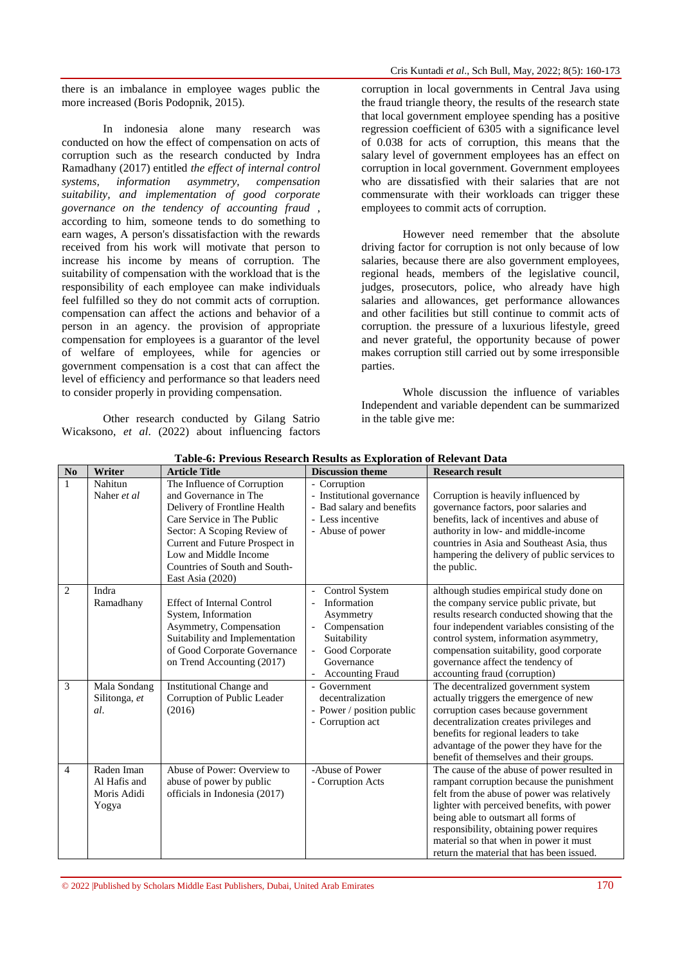there is an imbalance in employee wages public the more increased (Boris Podopnik, 2015).

In indonesia alone many research was conducted on how the effect of compensation on acts of corruption such as the research conducted by Indra Ramadhany (2017) entitled *the effect of internal control systems, information asymmetry, compensation suitability, and implementation of good corporate governance on the tendency of accounting fraud* , according to him, someone tends to do something to earn wages, A person's dissatisfaction with the rewards received from his work will motivate that person to increase his income by means of corruption. The suitability of compensation with the workload that is the responsibility of each employee can make individuals feel fulfilled so they do not commit acts of corruption. compensation can affect the actions and behavior of a person in an agency. the provision of appropriate compensation for employees is a guarantor of the level of welfare of employees, while for agencies or government compensation is a cost that can affect the level of efficiency and performance so that leaders need to consider properly in providing compensation.

Other research conducted by Gilang Satrio Wicaksono, *et al*. (2022) about influencing factors corruption in local governments in Central Java using the fraud triangle theory, the results of the research state that local government employee spending has a positive regression coefficient of 6305 with a significance level of 0.038 for acts of corruption, this means that the salary level of government employees has an effect on corruption in local government. Government employees who are dissatisfied with their salaries that are not commensurate with their workloads can trigger these employees to commit acts of corruption.

However need remember that the absolute driving factor for corruption is not only because of low salaries, because there are also government employees, regional heads, members of the legislative council, judges, prosecutors, police, who already have high salaries and allowances, get performance allowances and other facilities but still continue to commit acts of corruption. the pressure of a luxurious lifestyle, greed and never grateful, the opportunity because of power makes corruption still carried out by some irresponsible parties.

Whole discussion the influence of variables Independent and variable dependent can be summarized in the table give me:

| N <sub>o</sub> | Writer                                             | Table of Techous Research Results as Exploration of Relevant Data<br><b>Article Title</b>                                                                                                                                                                         | <b>Discussion theme</b>                                                                                                                    | <b>Research result</b>                                                                                                                                                                                                                                                                                                                                           |
|----------------|----------------------------------------------------|-------------------------------------------------------------------------------------------------------------------------------------------------------------------------------------------------------------------------------------------------------------------|--------------------------------------------------------------------------------------------------------------------------------------------|------------------------------------------------------------------------------------------------------------------------------------------------------------------------------------------------------------------------------------------------------------------------------------------------------------------------------------------------------------------|
| 1              | Nahitun<br>Naher et al                             | The Influence of Corruption<br>and Governance in The<br>Delivery of Frontline Health<br>Care Service in The Public<br>Sector: A Scoping Review of<br>Current and Future Prospect in<br>Low and Middle Income<br>Countries of South and South-<br>East Asia (2020) | - Corruption<br>- Institutional governance<br>- Bad salary and benefits<br>- Less incentive<br>- Abuse of power                            | Corruption is heavily influenced by<br>governance factors, poor salaries and<br>benefits, lack of incentives and abuse of<br>authority in low- and middle-income<br>countries in Asia and Southeast Asia, thus<br>hampering the delivery of public services to<br>the public.                                                                                    |
| $\overline{2}$ | Indra<br>Ramadhany                                 | <b>Effect of Internal Control</b><br>System, Information<br>Asymmetry, Compensation<br>Suitability and Implementation<br>of Good Corporate Governance<br>on Trend Accounting (2017)                                                                               | Control System<br>Ĭ.<br>Information<br>Asymmetry<br>Compensation<br>Suitability<br>Good Corporate<br>Governance<br><b>Accounting Fraud</b> | although studies empirical study done on<br>the company service public private, but<br>results research conducted showing that the<br>four independent variables consisting of the<br>control system, information asymmetry,<br>compensation suitability, good corporate<br>governance affect the tendency of<br>accounting fraud (corruption)                   |
| 3              | Mala Sondang<br>Silitonga, et<br>al.               | <b>Institutional Change and</b><br>Corruption of Public Leader<br>(2016)                                                                                                                                                                                          | Government<br>decentralization<br>- Power / position public<br>- Corruption act                                                            | The decentralized government system<br>actually triggers the emergence of new<br>corruption cases because government<br>decentralization creates privileges and<br>benefits for regional leaders to take<br>advantage of the power they have for the<br>benefit of themselves and their groups.                                                                  |
| $\overline{4}$ | Raden Iman<br>Al Hafis and<br>Moris Adidi<br>Yogya | Abuse of Power: Overview to<br>abuse of power by public<br>officials in Indonesia (2017)                                                                                                                                                                          | -Abuse of Power<br>- Corruption Acts                                                                                                       | The cause of the abuse of power resulted in<br>rampant corruption because the punishment<br>felt from the abuse of power was relatively<br>lighter with perceived benefits, with power<br>being able to outsmart all forms of<br>responsibility, obtaining power requires<br>material so that when in power it must<br>return the material that has been issued. |

**Table-6: Previous Research Results as Exploration of Relevant Data**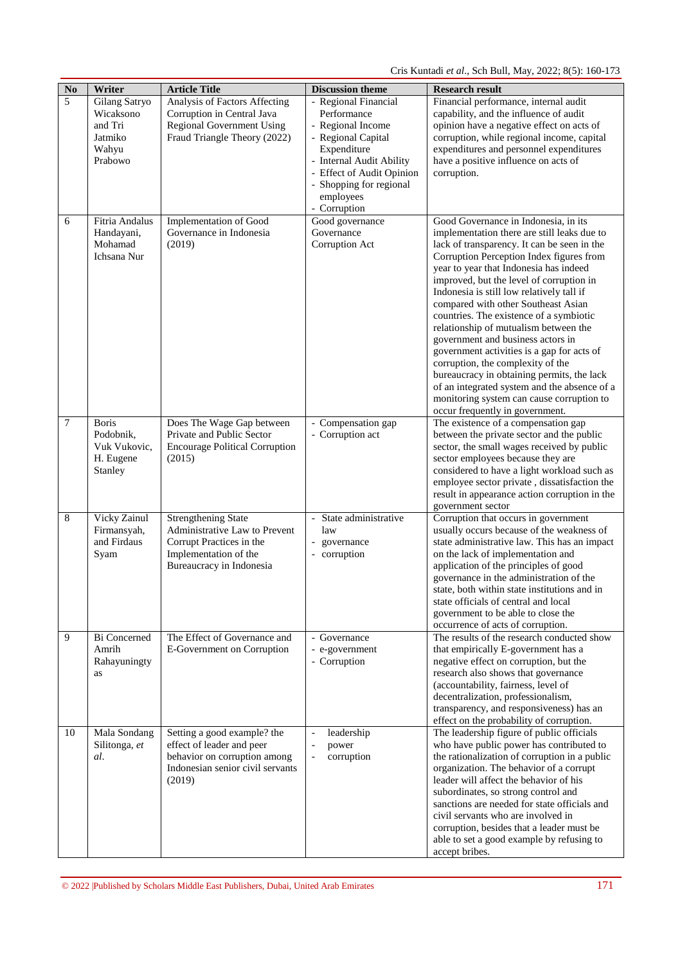Cris Kuntadi *et al*., Sch Bull, May, 2022; 8(5): 160-173

| $\mathbf{No}$ | Writer                                                        | <b>Article Title</b>                                               | <b>Discussion theme</b>                              | <b>Research result</b>                                                                                                                                                                                                                                               |
|---------------|---------------------------------------------------------------|--------------------------------------------------------------------|------------------------------------------------------|----------------------------------------------------------------------------------------------------------------------------------------------------------------------------------------------------------------------------------------------------------------------|
| 5             | Gilang Satryo<br>Wicaksono                                    | Analysis of Factors Affecting<br>Corruption in Central Java        | - Regional Financial<br>Performance                  | Financial performance, internal audit<br>capability, and the influence of audit                                                                                                                                                                                      |
|               | and Tri<br>Jatmiko                                            | <b>Regional Government Using</b><br>Fraud Triangle Theory (2022)   | - Regional Income<br>- Regional Capital              | opinion have a negative effect on acts of<br>corruption, while regional income, capital                                                                                                                                                                              |
|               | Wahyu<br>Prabowo                                              |                                                                    | Expenditure<br>- Internal Audit Ability              | expenditures and personnel expenditures<br>have a positive influence on acts of                                                                                                                                                                                      |
|               |                                                               |                                                                    | - Effect of Audit Opinion<br>- Shopping for regional | corruption.                                                                                                                                                                                                                                                          |
|               |                                                               |                                                                    | employees<br>- Corruption                            |                                                                                                                                                                                                                                                                      |
| 6             | <b>Fitria Andalus</b><br>Handayani,<br>Mohamad<br>Ichsana Nur | Implementation of Good<br>Governance in Indonesia<br>(2019)        | Good governance<br>Governance<br>Corruption Act      | Good Governance in Indonesia, in its<br>implementation there are still leaks due to<br>lack of transparency. It can be seen in the<br>Corruption Perception Index figures from<br>year to year that Indonesia has indeed<br>improved, but the level of corruption in |
|               |                                                               |                                                                    |                                                      | Indonesia is still low relatively tall if<br>compared with other Southeast Asian                                                                                                                                                                                     |
|               |                                                               |                                                                    |                                                      | countries. The existence of a symbiotic<br>relationship of mutualism between the                                                                                                                                                                                     |
|               |                                                               |                                                                    |                                                      | government and business actors in<br>government activities is a gap for acts of                                                                                                                                                                                      |
|               |                                                               |                                                                    |                                                      | corruption, the complexity of the<br>bureaucracy in obtaining permits, the lack                                                                                                                                                                                      |
|               |                                                               |                                                                    |                                                      | of an integrated system and the absence of a<br>monitoring system can cause corruption to                                                                                                                                                                            |
| 7             | <b>Boris</b>                                                  | Does The Wage Gap between                                          | Compensation gap                                     | occur frequently in government.<br>The existence of a compensation gap                                                                                                                                                                                               |
|               | Podobnik,<br>Vuk Vukovic,                                     | Private and Public Sector<br><b>Encourage Political Corruption</b> | - Corruption act                                     | between the private sector and the public<br>sector, the small wages received by public                                                                                                                                                                              |
|               | H. Eugene<br>Stanley                                          | (2015)                                                             |                                                      | sector employees because they are<br>considered to have a light workload such as                                                                                                                                                                                     |
|               |                                                               |                                                                    |                                                      | employee sector private, dissatisfaction the                                                                                                                                                                                                                         |
|               |                                                               |                                                                    |                                                      | result in appearance action corruption in the<br>government sector                                                                                                                                                                                                   |
| $\,8\,$       | Vicky Zainul<br>Firmansyah,                                   | <b>Strengthening State</b><br>Administrative Law to Prevent        | State administrative<br>law                          | Corruption that occurs in government<br>usually occurs because of the weakness of                                                                                                                                                                                    |
|               | and Firdaus<br>Syam                                           | Corrupt Practices in the<br>Implementation of the                  | governance<br>corruption                             | state administrative law. This has an impact<br>on the lack of implementation and                                                                                                                                                                                    |
|               |                                                               | Bureaucracy in Indonesia                                           |                                                      | application of the principles of good<br>governance in the administration of the                                                                                                                                                                                     |
|               |                                                               |                                                                    |                                                      | state, both within state institutions and in<br>state officials of central and local                                                                                                                                                                                 |
|               |                                                               |                                                                    |                                                      | government to be able to close the<br>occurrence of acts of corruption.                                                                                                                                                                                              |
| 9             | <b>Bi</b> Concerned<br>Amrih                                  | The Effect of Governance and<br>E-Government on Corruption         | - Governance<br>e-government                         | The results of the research conducted show<br>that empirically E-government has a                                                                                                                                                                                    |
|               | Rahayuningty<br>as                                            |                                                                    | - Corruption                                         | negative effect on corruption, but the<br>research also shows that governance                                                                                                                                                                                        |
|               |                                                               |                                                                    |                                                      | (accountability, fairness, level of<br>decentralization, professionalism,                                                                                                                                                                                            |
|               |                                                               |                                                                    |                                                      | transparency, and responsiveness) has an                                                                                                                                                                                                                             |
| 10            | Mala Sondang                                                  | Setting a good example? the                                        | leadership<br>$\overline{\phantom{a}}$               | effect on the probability of corruption.<br>The leadership figure of public officials                                                                                                                                                                                |
|               | Silitonga, et<br>al.                                          | effect of leader and peer<br>behavior on corruption among          | power<br>corruption<br>$\overline{a}$                | who have public power has contributed to<br>the rationalization of corruption in a public                                                                                                                                                                            |
|               |                                                               | Indonesian senior civil servants<br>(2019)                         |                                                      | organization. The behavior of a corrupt<br>leader will affect the behavior of his                                                                                                                                                                                    |
|               |                                                               |                                                                    |                                                      | subordinates, so strong control and<br>sanctions are needed for state officials and                                                                                                                                                                                  |
|               |                                                               |                                                                    |                                                      | civil servants who are involved in<br>corruption, besides that a leader must be                                                                                                                                                                                      |
|               |                                                               |                                                                    |                                                      | able to set a good example by refusing to                                                                                                                                                                                                                            |
|               |                                                               |                                                                    |                                                      | accept bribes.                                                                                                                                                                                                                                                       |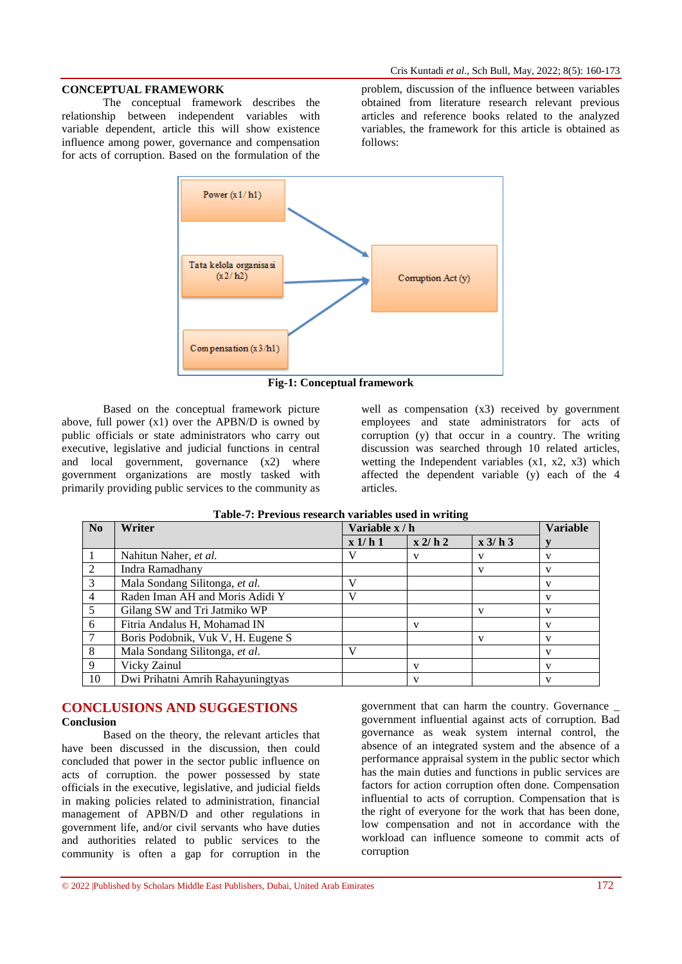# **CONCEPTUAL FRAMEWORK**

The conceptual framework describes the relationship between independent variables with variable dependent, article this will show existence influence among power, governance and compensation for acts of corruption. Based on the formulation of the

problem, discussion of the influence between variables obtained from literature research relevant previous articles and reference books related to the analyzed variables, the framework for this article is obtained as follows:



**Fig-1: Conceptual framework**

Based on the conceptual framework picture above, full power (x1) over the APBN/D is owned by public officials or state administrators who carry out executive, legislative and judicial functions in central and local government, governance (x2) where government organizations are mostly tasked with primarily providing public services to the community as

well as compensation  $(x3)$  received by government employees and state administrators for acts of corruption (y) that occur in a country. The writing discussion was searched through 10 related articles, wetting the Independent variables (x1, x2, x3) which affected the dependent variable (y) each of the 4 articles.

| No             | Writer                             | Variable x / h |            |         | <b>Variable</b> |
|----------------|------------------------------------|----------------|------------|---------|-----------------|
|                |                                    | x 1/h 1        | $x$ 2/ h 2 | x 3/h 3 |                 |
|                | Nahitun Naher, et al.              |                | v          |         | v               |
| $\overline{2}$ | Indra Ramadhany                    |                |            |         |                 |
| 3              | Mala Sondang Silitonga, et al.     |                |            |         |                 |
| $\overline{4}$ | Raden Iman AH and Moris Adidi Y    |                |            |         |                 |
| 5              | Gilang SW and Tri Jatmiko WP       |                |            | v       |                 |
| 6              | Fitria Andalus H, Mohamad IN       |                | v          |         | v               |
| $\overline{7}$ | Boris Podobnik, Vuk V, H. Eugene S |                |            |         |                 |
| 8              | Mala Sondang Silitonga, et al.     | V              |            |         |                 |
| 9              | Vicky Zainul                       |                | V          |         |                 |
| 10             | Dwi Prihatni Amrih Rahayuningtyas  |                | v          |         |                 |

| Table-7: Previous research variables used in writing |  |  |
|------------------------------------------------------|--|--|
|                                                      |  |  |

# **CONCLUSIONS AND SUGGESTIONS Conclusion**

Based on the theory, the relevant articles that have been discussed in the discussion, then could concluded that power in the sector public influence on acts of corruption. the power possessed by state officials in the executive, legislative, and judicial fields in making policies related to administration, financial management of APBN/D and other regulations in government life, and/or civil servants who have duties and authorities related to public services to the community is often a gap for corruption in the

government that can harm the country. Governance \_ government influential against acts of corruption. Bad governance as weak system internal control, the absence of an integrated system and the absence of a performance appraisal system in the public sector which has the main duties and functions in public services are factors for action corruption often done. Compensation influential to acts of corruption. Compensation that is the right of everyone for the work that has been done, low compensation and not in accordance with the workload can influence someone to commit acts of corruption